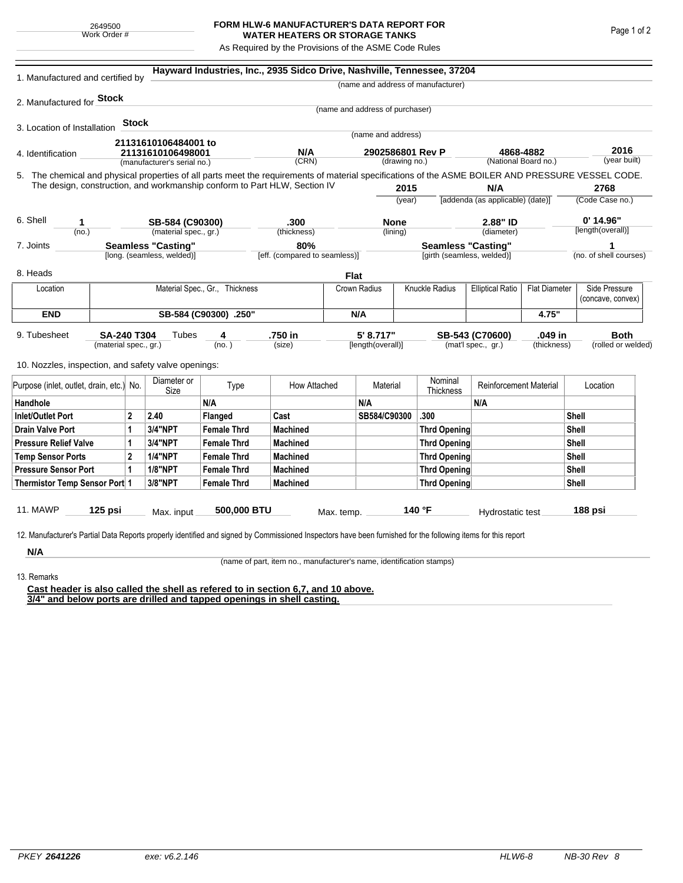## **FORM HLW-6 MANUFACTURER'S DATA REPORT FOR WATER HEATERS OR STORAGE TANKS**

As Required by the Provisions of the ASME Code Rules

| 1. Manufactured and certified by                                                                                                                                                                                                |                           |                |                            |                                | Hayward Industries, Inc., 2935 Sidco Drive, Nashville, Tennessee, 37204 |                           |                                 |        |                                           |                               |                         |                      |                        |
|---------------------------------------------------------------------------------------------------------------------------------------------------------------------------------------------------------------------------------|---------------------------|----------------|----------------------------|--------------------------------|-------------------------------------------------------------------------|---------------------------|---------------------------------|--------|-------------------------------------------|-------------------------------|-------------------------|----------------------|------------------------|
|                                                                                                                                                                                                                                 |                           |                |                            |                                |                                                                         |                           |                                 |        | (name and address of manufacturer)        |                               |                         |                      |                        |
| 2. Manufactured for <b>Stock</b>                                                                                                                                                                                                |                           |                |                            |                                |                                                                         |                           |                                 |        |                                           |                               |                         |                      |                        |
|                                                                                                                                                                                                                                 |                           |                |                            |                                |                                                                         |                           | (name and address of purchaser) |        |                                           |                               |                         |                      |                        |
| 3. Location of Installation                                                                                                                                                                                                     |                           | <b>Stock</b>   |                            |                                |                                                                         |                           |                                 |        |                                           |                               |                         |                      |                        |
|                                                                                                                                                                                                                                 |                           |                | 21131610106484001 to       |                                |                                                                         |                           | (name and address)              |        |                                           |                               |                         |                      |                        |
| 4. Identification                                                                                                                                                                                                               |                           |                | 21131610106498001          |                                | N/A                                                                     |                           | 2902586801 Rev P                |        |                                           | 4868-4882                     |                         | 2016<br>(year built) |                        |
| (manufacturer's serial no.)                                                                                                                                                                                                     |                           |                |                            |                                |                                                                         | (CRN)<br>(drawing no.)    |                                 |        | (National Board no.)                      |                               |                         |                      |                        |
| 5. The chemical and physical properties of all parts meet the requirements of material specifications of the ASME BOILER AND PRESSURE VESSEL CODE.<br>The design, construction, and workmanship conform to Part HLW, Section IV |                           |                |                            |                                |                                                                         |                           |                                 |        |                                           |                               |                         |                      |                        |
|                                                                                                                                                                                                                                 |                           |                |                            |                                |                                                                         |                           | 2015                            |        | N/A<br>[addenda (as applicable) (date)]   |                               | 2768<br>(Code Case no.) |                      |                        |
|                                                                                                                                                                                                                                 |                           |                |                            |                                |                                                                         |                           |                                 | (year) |                                           |                               |                         |                      |                        |
| 6. Shell<br>1                                                                                                                                                                                                                   |                           |                | SB-584 (C90300)            |                                | .300<br>(thickness)                                                     |                           | <b>None</b><br>(lining)         |        | 2.88" ID<br>(diameter)                    |                               |                         |                      | $0'$ 14.96"            |
| (no.)                                                                                                                                                                                                                           |                           |                |                            | (material spec., gr.)          |                                                                         |                           |                                 |        |                                           |                               |                         |                      | [length(overall)]      |
| 7. Joints                                                                                                                                                                                                                       | <b>Seamless "Casting"</b> |                |                            | 80%                            |                                                                         | <b>Seamless "Casting"</b> |                                 |        |                                           |                               |                         | 1                    |                        |
|                                                                                                                                                                                                                                 |                           |                | [long. (seamless, welded)] |                                | [eff. (compared to seamless)]                                           |                           |                                 |        | [girth (seamless, welded)]                |                               |                         |                      | (no. of shell courses) |
| 8. Heads                                                                                                                                                                                                                        |                           |                |                            |                                |                                                                         | Flat                      |                                 |        |                                           |                               |                         |                      |                        |
| Location                                                                                                                                                                                                                        |                           |                |                            | Material Spec., Gr., Thickness |                                                                         |                           | Crown Radius                    |        | Knuckle Radius<br><b>Elliptical Ratio</b> |                               | <b>Flat Diameter</b>    |                      | Side Pressure          |
|                                                                                                                                                                                                                                 |                           |                |                            |                                |                                                                         |                           |                                 |        |                                           |                               |                         |                      | (concave, convex)      |
| <b>END</b>                                                                                                                                                                                                                      | SB-584 (C90300) .250"     |                |                            |                                |                                                                         |                           | N/A                             |        |                                           | 4.75"                         |                         |                      |                        |
| 9. Tubesheet                                                                                                                                                                                                                    | SA-240 T304               |                | Tubes                      | 4                              | .750 in                                                                 |                           | 5' 8.717"                       |        |                                           | SB-543 (C70600)               | .049 in                 |                      | <b>Both</b>            |
| (material spec., gr.)                                                                                                                                                                                                           |                           |                | (no.)                      |                                | (size)                                                                  |                           | [length(overall)]               |        | (mat'l spec., gr.)                        |                               | (thickness)             |                      | (rolled or welded)     |
|                                                                                                                                                                                                                                 |                           |                |                            |                                |                                                                         |                           |                                 |        |                                           |                               |                         |                      |                        |
| 10. Nozzles, inspection, and safety valve openings:                                                                                                                                                                             |                           |                |                            |                                |                                                                         |                           |                                 |        |                                           |                               |                         |                      |                        |
| Purpose (inlet, outlet, drain, etc.) No.                                                                                                                                                                                        |                           |                | Diameter or<br>Size        | Type                           | How Attached                                                            |                           | Material                        |        | Nominal<br>Thickness                      | <b>Reinforcement Material</b> |                         |                      | Location               |
| Handhole                                                                                                                                                                                                                        |                           |                |                            | N/A                            |                                                                         |                           | N/A                             |        |                                           | N/A                           |                         |                      |                        |
| <b>Inlet/Outlet Port</b>                                                                                                                                                                                                        |                           | $\overline{2}$ | 2.40                       | Flanged                        | Cast                                                                    |                           | SB584/C90300                    |        | .300                                      |                               |                         | Shell                |                        |
| <b>Drain Valve Port</b>                                                                                                                                                                                                         | 1                         |                | 3/4"NPT                    | <b>Female Thrd</b>             | <b>Machined</b>                                                         |                           |                                 |        | <b>Thrd Opening</b>                       |                               |                         | Shell                |                        |
| <b>Pressure Relief Valve</b>                                                                                                                                                                                                    |                           | 1              | 3/4"NPT                    | <b>Female Thrd</b>             | <b>Machined</b>                                                         |                           |                                 |        | <b>Thrd Opening</b>                       |                               |                         | Shell                |                        |
| <b>Temp Sensor Ports</b>                                                                                                                                                                                                        |                           | $\overline{2}$ | <b>1/4"NPT</b>             | <b>Female Thrd</b>             | <b>Machined</b>                                                         |                           |                                 |        | <b>Thrd Opening</b>                       |                               |                         | Shell                |                        |
| <b>Pressure Sensor Port</b><br>1                                                                                                                                                                                                |                           |                | <b>1/8"NPT</b>             | <b>Female Thrd</b>             | <b>Machined</b>                                                         |                           |                                 |        | <b>Thrd Opening</b>                       |                               |                         | Shell                |                        |
| Thermistor Temp Sensor Port 1                                                                                                                                                                                                   |                           |                | 3/8"NPT                    | <b>Female Thrd</b>             | <b>Machined</b>                                                         |                           |                                 |        | Thrd Opening                              |                               |                         | Shell                |                        |
|                                                                                                                                                                                                                                 |                           |                |                            |                                |                                                                         |                           |                                 |        |                                           |                               |                         |                      |                        |
| 11. MAWP                                                                                                                                                                                                                        | 125 psi                   |                | Max. input                 | 500,000 BTU                    |                                                                         | Max. temp.                |                                 |        | 140 °F                                    | Hydrostatic test              |                         |                      | 188 psi                |
|                                                                                                                                                                                                                                 |                           |                |                            |                                |                                                                         |                           |                                 |        |                                           |                               |                         |                      |                        |
| 12. Manufacturer's Partial Data Reports properly identified and signed by Commissioned Inspectors have been furnished for the following items for this report                                                                   |                           |                |                            |                                |                                                                         |                           |                                 |        |                                           |                               |                         |                      |                        |
| N/A                                                                                                                                                                                                                             |                           |                |                            |                                |                                                                         |                           |                                 |        |                                           |                               |                         |                      |                        |

(name of part, item no., manufacturer's name, identification stamps)

13. Remarks

**Cast header is also called the shell as refered to in section 6,7, and 10 above. 3/4" and below ports are drilled and tapped openings in shell casting.**